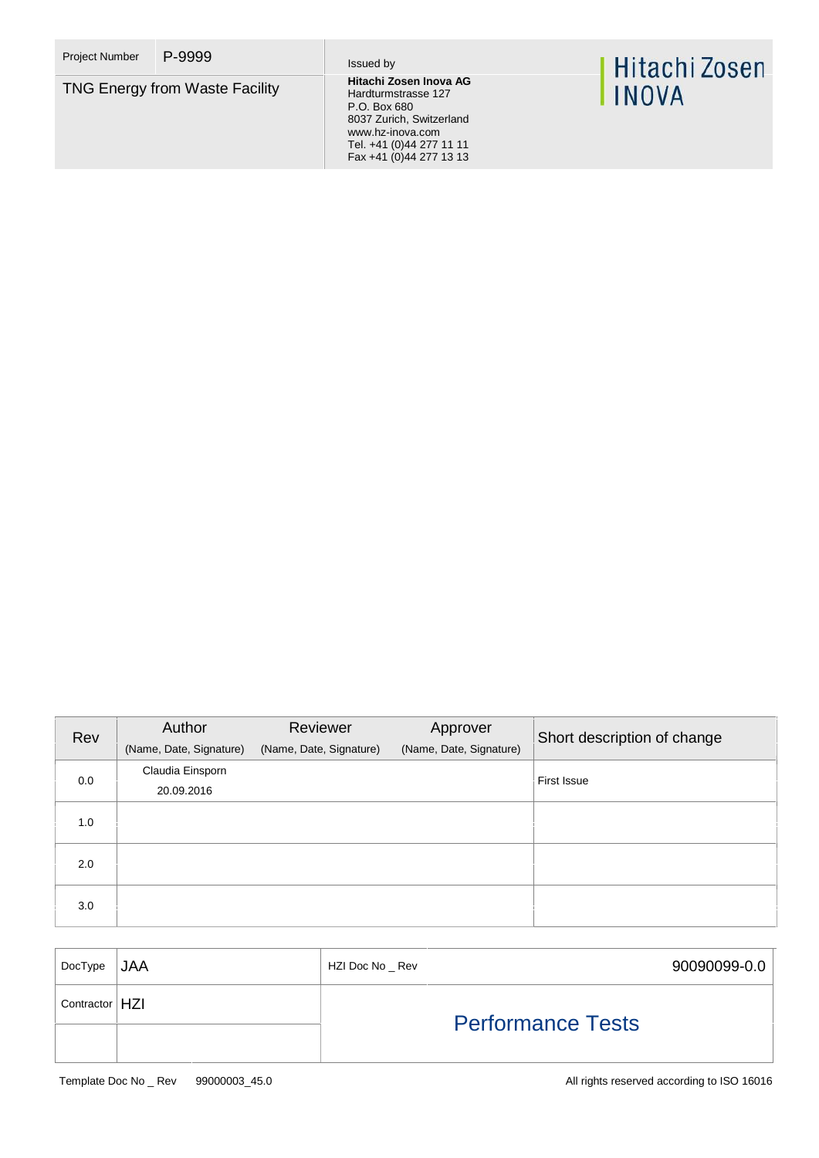**TNG Energy from Waste Facility** 

Hardturmstrasse 127 P.O. Box 680 8037 Zurich, Switzerland www.hz-inova.com Tel. +41 (0)44 277 11 11 Fax +41 (0)44 277 13 13

# | Hitachi Zosen<br>| INOVA

| Rev | Author                  | Reviewer                | Approver                | Short description of change |  |
|-----|-------------------------|-------------------------|-------------------------|-----------------------------|--|
|     | (Name, Date, Signature) | (Name, Date, Signature) | (Name, Date, Signature) |                             |  |
| 0.0 | Claudia Einsporn        |                         |                         | First Issue                 |  |
|     | 20.09.2016              |                         |                         |                             |  |
| 1.0 |                         |                         |                         |                             |  |
|     |                         |                         |                         |                             |  |
| 2.0 |                         |                         |                         |                             |  |
|     |                         |                         |                         |                             |  |
| 3.0 |                         |                         |                         |                             |  |
|     |                         |                         |                         |                             |  |

| DocType         | <b>JAA</b> | HZI Doc No _ Rev         | 90090099-0.0 |
|-----------------|------------|--------------------------|--------------|
| Contractor   HZ |            | <b>Performance Tests</b> |              |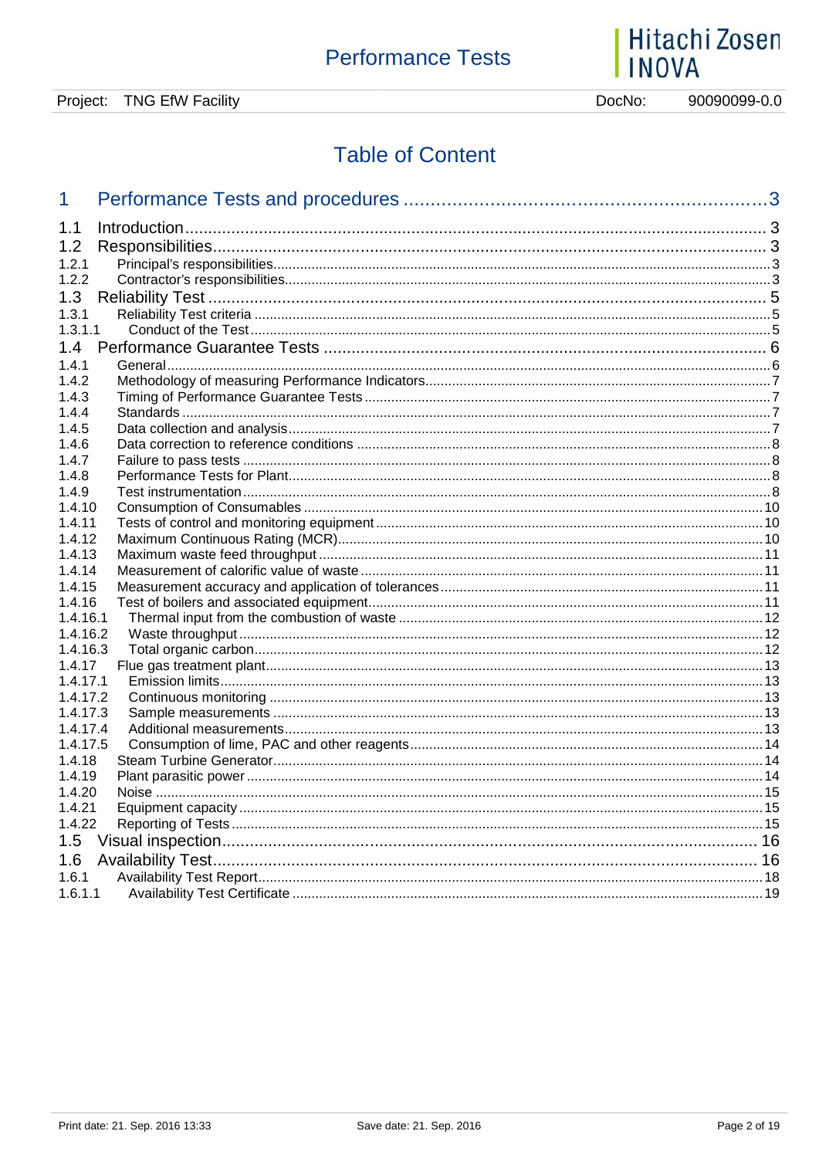# | Hitachi Zosen<br>| INOVA

90090099-0.0 DocNo:

# **Table of Content**

| 1        |                          | 3 |
|----------|--------------------------|---|
| 1.1      |                          |   |
| 1.2      |                          |   |
| 1.2.1    |                          |   |
|          |                          |   |
| 1.2.2    |                          |   |
| 1.3      |                          |   |
| 1.3.1    |                          |   |
| 1.3.1.1  |                          |   |
| 1.4      |                          |   |
| 1.4.1    |                          |   |
| 1.4.2    |                          |   |
| 1.4.3    |                          |   |
| 1.4.4    |                          |   |
| 1.4.5    |                          |   |
| 1.4.6    |                          |   |
| 1.4.7    |                          |   |
| 1.4.8    |                          |   |
| 1.4.9    |                          |   |
| 1.4.10   |                          |   |
| 1.4.11   |                          |   |
| 1.4.12   |                          |   |
| 1.4.13   |                          |   |
| 1.4.14   |                          |   |
| 1.4.15   |                          |   |
| 1.4.16   |                          |   |
| 1.4.16.1 |                          |   |
| 1.4.16.2 |                          |   |
| 1.4.16.3 |                          |   |
| 1.4.17   |                          |   |
| 1.4.17.1 |                          |   |
| 1.4.17.2 |                          |   |
| 1.4.17.3 |                          |   |
| 1.4.17.4 |                          |   |
| 1.4.17.5 |                          |   |
| 1.4.18   |                          |   |
| 1.4.19   |                          |   |
| 1.4.20   |                          |   |
| 1.4.21   |                          |   |
| 1.4.22   |                          |   |
| 1.5      |                          |   |
| 1.6      | <b>Availability Test</b> |   |
| 1.6.1    |                          |   |
| 1.6.1.1  |                          |   |
|          |                          |   |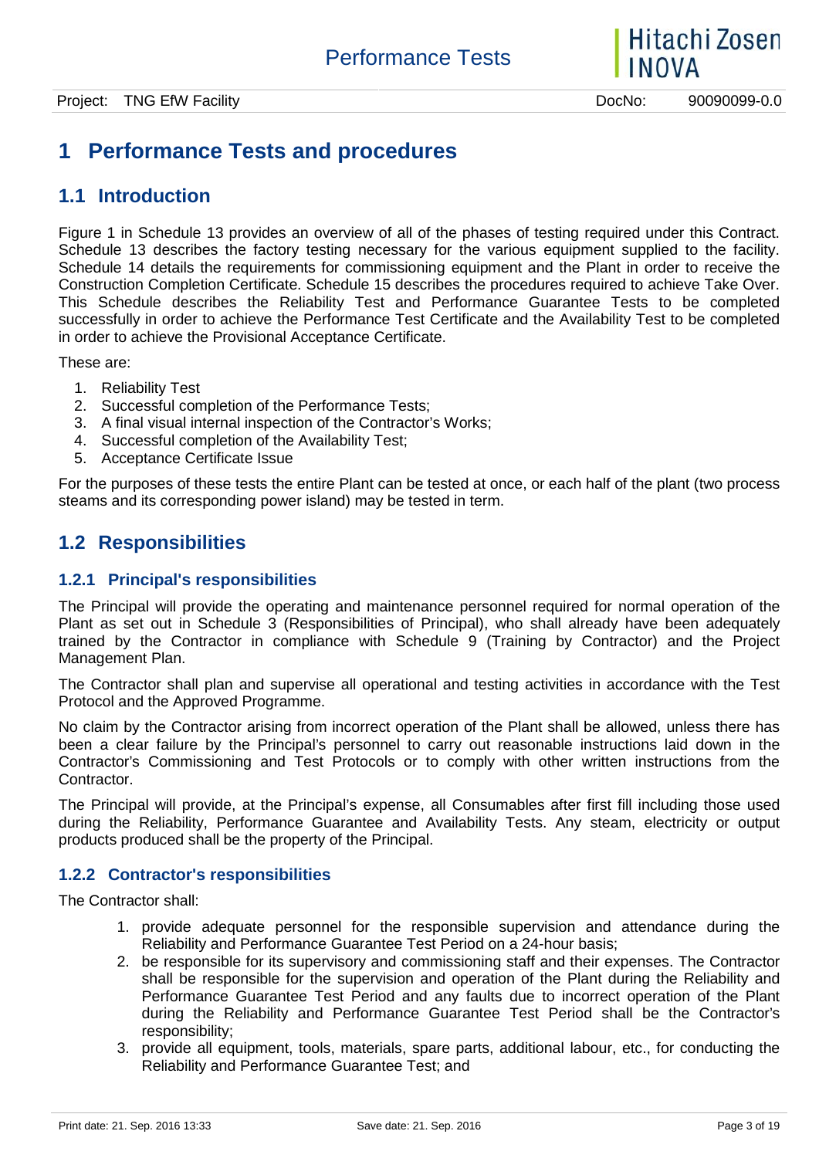# **1 Performance Tests and procedures**

## **1.1 Introduction**

Figure 1 in Schedule 13 provides an overview of all of the phases of testing required under this Contract. Schedule 13 describes the factory testing necessary for the various equipment supplied to the facility. Schedule 14 details the requirements for commissioning equipment and the Plant in order to receive the Construction Completion Certificate. Schedule 15 describes the procedures required to achieve Take Over. This Schedule describes the Reliability Test and Performance Guarantee Tests to be completed successfully in order to achieve the Performance Test Certificate and the Availability Test to be completed in order to achieve the Provisional Acceptance Certificate.

These are:

- 1. Reliability Test
- 2. Successful completion of the Performance Tests;
- 3. A final visual internal inspection of the Contractor's Works;
- 4. Successful completion of the Availability Test;
- 5. Acceptance Certificate Issue

For the purposes of these tests the entire Plant can be tested at once, or each half of the plant (two process steams and its corresponding power island) may be tested in term.

# **1.2 Responsibilities**

#### **1.2.1 Principal's responsibilities**

The Principal will provide the operating and maintenance personnel required for normal operation of the Plant as set out in Schedule 3 (Responsibilities of Principal), who shall already have been adequately trained by the Contractor in compliance with Schedule 9 (Training by Contractor) and the Project Management Plan.

The Contractor shall plan and supervise all operational and testing activities in accordance with the Test Protocol and the Approved Programme.

No claim by the Contractor arising from incorrect operation of the Plant shall be allowed, unless there has been a clear failure by the Principal's personnel to carry out reasonable instructions laid down in the Contractor's Commissioning and Test Protocols or to comply with other written instructions from the Contractor.

The Principal will provide, at the Principal's expense, all Consumables after first fill including those used during the Reliability, Performance Guarantee and Availability Tests. Any steam, electricity or output products produced shall be the property of the Principal.

#### **1.2.2 Contractor's responsibilities**

The Contractor shall:

- 1. provide adequate personnel for the responsible supervision and attendance during the Reliability and Performance Guarantee Test Period on a 24-hour basis;
- 2. be responsible for its supervisory and commissioning staff and their expenses. The Contractor shall be responsible for the supervision and operation of the Plant during the Reliability and Performance Guarantee Test Period and any faults due to incorrect operation of the Plant during the Reliability and Performance Guarantee Test Period shall be the Contractor's responsibility;
- 3. provide all equipment, tools, materials, spare parts, additional labour, etc., for conducting the Reliability and Performance Guarantee Test; and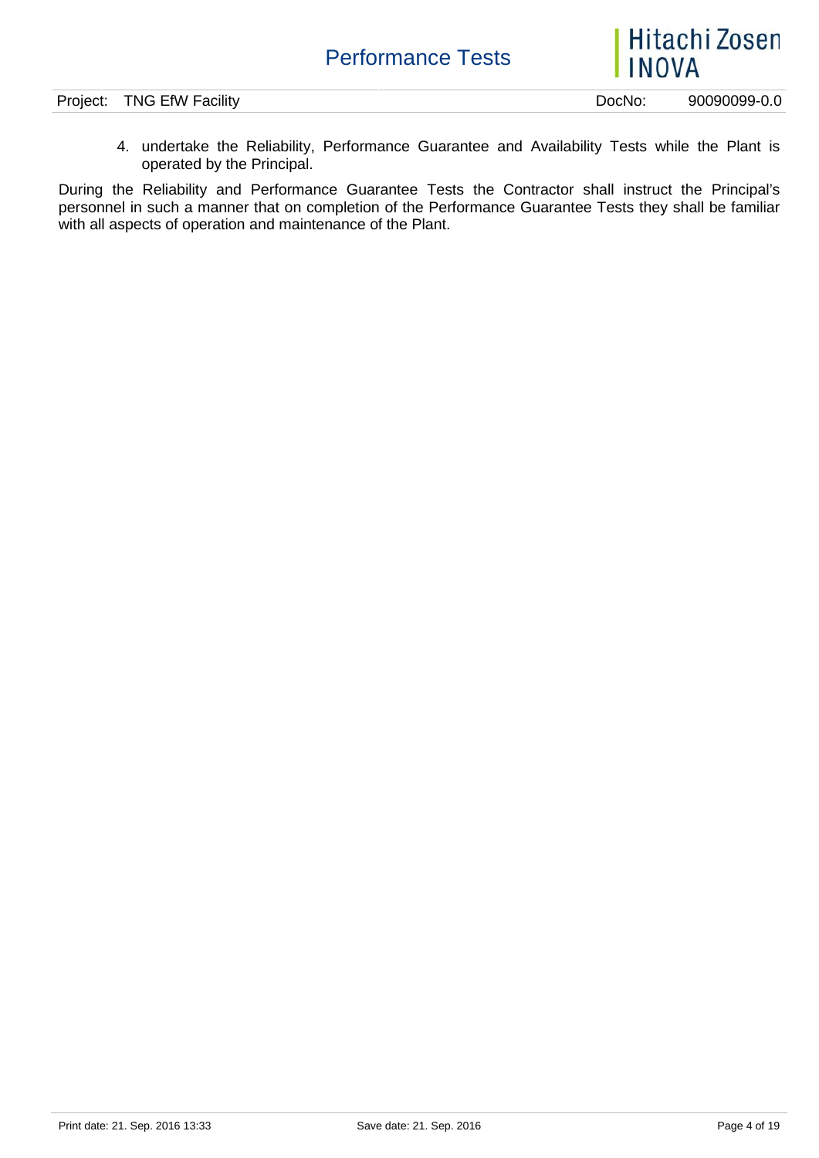Hitachi Zosen **INOVA** 

Project: TNG EfW Facility **Dochoral Example 20090099-0.0** 

4. undertake the Reliability, Performance Guarantee and Availability Tests while the Plant is operated by the Principal.

During the Reliability and Performance Guarantee Tests the Contractor shall instruct the Principal's personnel in such a manner that on completion of the Performance Guarantee Tests they shall be familiar with all aspects of operation and maintenance of the Plant.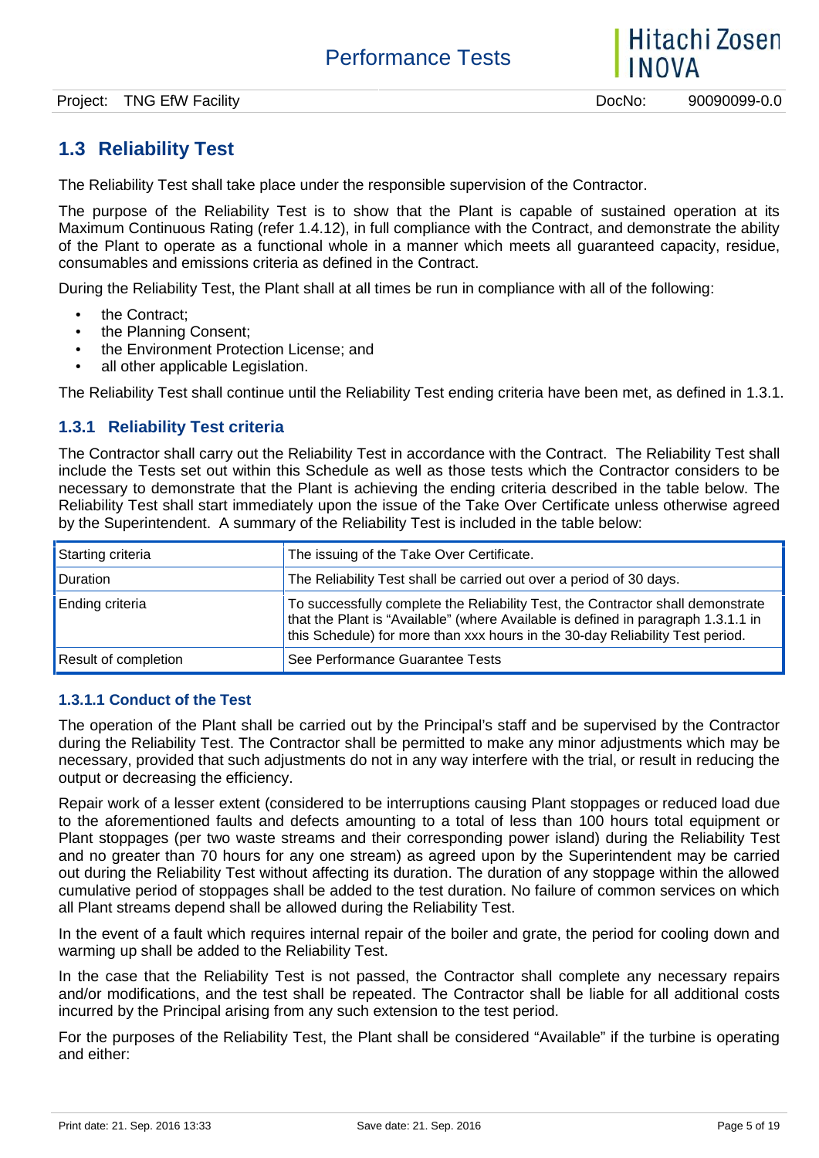# **1.3 Reliability Test**

The Reliability Test shall take place under the responsible supervision of the Contractor.

The purpose of the Reliability Test is to show that the Plant is capable of sustained operation at its Maximum Continuous Rating (refer 1.4.12), in full compliance with the Contract, and demonstrate the ability of the Plant to operate as a functional whole in a manner which meets all guaranteed capacity, residue, consumables and emissions criteria as defined in the Contract.

During the Reliability Test, the Plant shall at all times be run in compliance with all of the following:

- the Contract;
- the Planning Consent:
- the Environment Protection License; and
- all other applicable Legislation.

The Reliability Test shall continue until the Reliability Test ending criteria have been met, as defined in 1.3.1.

#### **1.3.1 Reliability Test criteria**

The Contractor shall carry out the Reliability Test in accordance with the Contract. The Reliability Test shall include the Tests set out within this Schedule as well as those tests which the Contractor considers to be necessary to demonstrate that the Plant is achieving the ending criteria described in the table below. The Reliability Test shall start immediately upon the issue of the Take Over Certificate unless otherwise agreed by the Superintendent. A summary of the Reliability Test is included in the table below:

| Starting criteria           | The issuing of the Take Over Certificate.                                                                                                                                                                                                             |
|-----------------------------|-------------------------------------------------------------------------------------------------------------------------------------------------------------------------------------------------------------------------------------------------------|
| <b>Duration</b>             | The Reliability Test shall be carried out over a period of 30 days.                                                                                                                                                                                   |
| Ending criteria             | To successfully complete the Reliability Test, the Contractor shall demonstrate<br>that the Plant is "Available" (where Available is defined in paragraph 1.3.1.1 in<br>this Schedule) for more than xxx hours in the 30-day Reliability Test period. |
| <b>Result of completion</b> | See Performance Guarantee Tests                                                                                                                                                                                                                       |

#### **1.3.1.1 Conduct of the Test**

The operation of the Plant shall be carried out by the Principal's staff and be supervised by the Contractor during the Reliability Test. The Contractor shall be permitted to make any minor adjustments which may be necessary, provided that such adjustments do not in any way interfere with the trial, or result in reducing the output or decreasing the efficiency.

Repair work of a lesser extent (considered to be interruptions causing Plant stoppages or reduced load due to the aforementioned faults and defects amounting to a total of less than 100 hours total equipment or Plant stoppages (per two waste streams and their corresponding power island) during the Reliability Test and no greater than 70 hours for any one stream) as agreed upon by the Superintendent may be carried out during the Reliability Test without affecting its duration. The duration of any stoppage within the allowed cumulative period of stoppages shall be added to the test duration. No failure of common services on which all Plant streams depend shall be allowed during the Reliability Test.

In the event of a fault which requires internal repair of the boiler and grate, the period for cooling down and warming up shall be added to the Reliability Test.

In the case that the Reliability Test is not passed, the Contractor shall complete any necessary repairs and/or modifications, and the test shall be repeated. The Contractor shall be liable for all additional costs incurred by the Principal arising from any such extension to the test period.

For the purposes of the Reliability Test, the Plant shall be considered "Available" if the turbine is operating and either:

Hitachi Zosen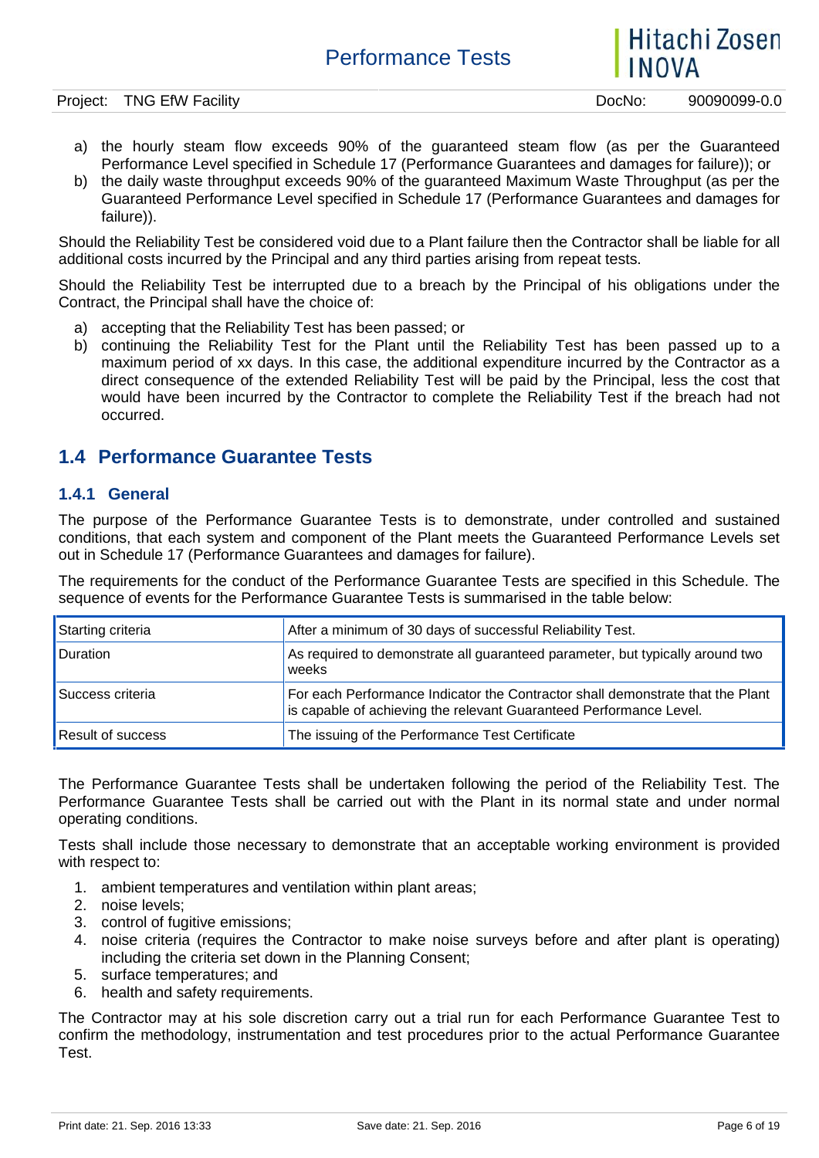Hitachi Zosen

- a) the hourly steam flow exceeds 90% of the guaranteed steam flow (as per the Guaranteed Performance Level specified in Schedule 17 (Performance Guarantees and damages for failure)); or
- b) the daily waste throughput exceeds 90% of the guaranteed Maximum Waste Throughput (as per the Guaranteed Performance Level specified in Schedule 17 (Performance Guarantees and damages for failure)).

Should the Reliability Test be considered void due to a Plant failure then the Contractor shall be liable for all additional costs incurred by the Principal and any third parties arising from repeat tests.

Should the Reliability Test be interrupted due to a breach by the Principal of his obligations under the Contract, the Principal shall have the choice of:

- a) accepting that the Reliability Test has been passed; or
- b) continuing the Reliability Test for the Plant until the Reliability Test has been passed up to a maximum period of xx days. In this case, the additional expenditure incurred by the Contractor as a direct consequence of the extended Reliability Test will be paid by the Principal, less the cost that would have been incurred by the Contractor to complete the Reliability Test if the breach had not occurred.

### **1.4 Performance Guarantee Tests**

#### **1.4.1 General**

The purpose of the Performance Guarantee Tests is to demonstrate, under controlled and sustained conditions, that each system and component of the Plant meets the Guaranteed Performance Levels set out in Schedule 17 (Performance Guarantees and damages for failure).

The requirements for the conduct of the Performance Guarantee Tests are specified in this Schedule. The sequence of events for the Performance Guarantee Tests is summarised in the table below:

| Starting criteria        | After a minimum of 30 days of successful Reliability Test.                                                                                           |
|--------------------------|------------------------------------------------------------------------------------------------------------------------------------------------------|
| <b>Duration</b>          | As required to demonstrate all guaranteed parameter, but typically around two<br>weeks                                                               |
| Success criteria         | For each Performance Indicator the Contractor shall demonstrate that the Plant<br>is capable of achieving the relevant Guaranteed Performance Level. |
| <b>Result of success</b> | The issuing of the Performance Test Certificate                                                                                                      |

The Performance Guarantee Tests shall be undertaken following the period of the Reliability Test. The Performance Guarantee Tests shall be carried out with the Plant in its normal state and under normal operating conditions.

Tests shall include those necessary to demonstrate that an acceptable working environment is provided with respect to:

- 1. ambient temperatures and ventilation within plant areas;
- 2. noise levels;
- 3. control of fugitive emissions;
- 4. noise criteria (requires the Contractor to make noise surveys before and after plant is operating) including the criteria set down in the Planning Consent;
- 5. surface temperatures; and
- 6. health and safety requirements.

The Contractor may at his sole discretion carry out a trial run for each Performance Guarantee Test to confirm the methodology, instrumentation and test procedures prior to the actual Performance Guarantee Test.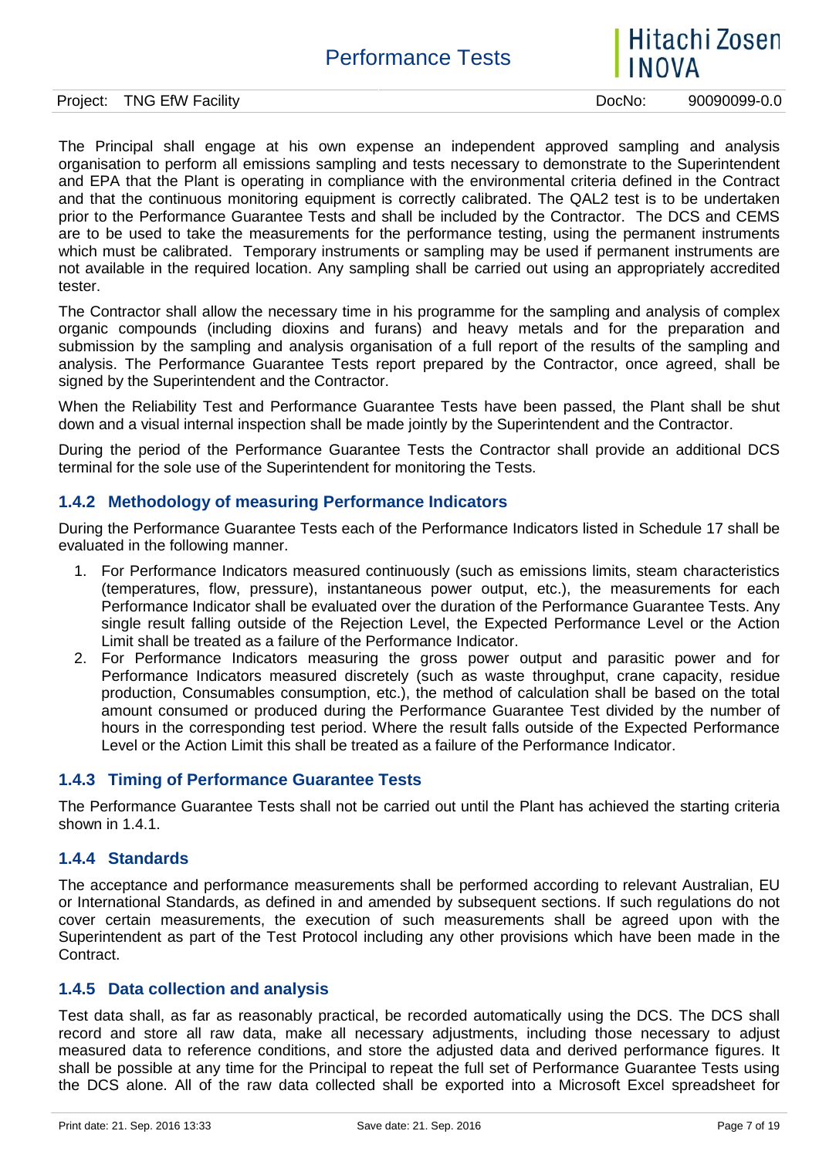

Project: TNG EfW Facility **Dock Contract: TNG EfW Facility** Docker Docker Docker Docker Docker Docker Docker Docker

The Principal shall engage at his own expense an independent approved sampling and analysis organisation to perform all emissions sampling and tests necessary to demonstrate to the Superintendent and EPA that the Plant is operating in compliance with the environmental criteria defined in the Contract and that the continuous monitoring equipment is correctly calibrated. The QAL2 test is to be undertaken prior to the Performance Guarantee Tests and shall be included by the Contractor. The DCS and CEMS are to be used to take the measurements for the performance testing, using the permanent instruments which must be calibrated. Temporary instruments or sampling may be used if permanent instruments are not available in the required location. Any sampling shall be carried out using an appropriately accredited tester.

The Contractor shall allow the necessary time in his programme for the sampling and analysis of complex organic compounds (including dioxins and furans) and heavy metals and for the preparation and submission by the sampling and analysis organisation of a full report of the results of the sampling and analysis. The Performance Guarantee Tests report prepared by the Contractor, once agreed, shall be signed by the Superintendent and the Contractor.

When the Reliability Test and Performance Guarantee Tests have been passed, the Plant shall be shut down and a visual internal inspection shall be made jointly by the Superintendent and the Contractor.

During the period of the Performance Guarantee Tests the Contractor shall provide an additional DCS terminal for the sole use of the Superintendent for monitoring the Tests.

#### **1.4.2 Methodology of measuring Performance Indicators**

During the Performance Guarantee Tests each of the Performance Indicators listed in Schedule 17 shall be evaluated in the following manner.

- 1. For Performance Indicators measured continuously (such as emissions limits, steam characteristics (temperatures, flow, pressure), instantaneous power output, etc.), the measurements for each Performance Indicator shall be evaluated over the duration of the Performance Guarantee Tests. Any single result falling outside of the Rejection Level, the Expected Performance Level or the Action Limit shall be treated as a failure of the Performance Indicator.
- 2. For Performance Indicators measuring the gross power output and parasitic power and for Performance Indicators measured discretely (such as waste throughput, crane capacity, residue production, Consumables consumption, etc.), the method of calculation shall be based on the total amount consumed or produced during the Performance Guarantee Test divided by the number of hours in the corresponding test period. Where the result falls outside of the Expected Performance Level or the Action Limit this shall be treated as a failure of the Performance Indicator.

#### **1.4.3 Timing of Performance Guarantee Tests**

The Performance Guarantee Tests shall not be carried out until the Plant has achieved the starting criteria shown in 1.4.1.

#### **1.4.4 Standards**

The acceptance and performance measurements shall be performed according to relevant Australian, EU or International Standards, as defined in and amended by subsequent sections. If such regulations do not cover certain measurements, the execution of such measurements shall be agreed upon with the Superintendent as part of the Test Protocol including any other provisions which have been made in the Contract.

#### **1.4.5 Data collection and analysis**

Test data shall, as far as reasonably practical, be recorded automatically using the DCS. The DCS shall record and store all raw data, make all necessary adjustments, including those necessary to adjust measured data to reference conditions, and store the adjusted data and derived performance figures. It shall be possible at any time for the Principal to repeat the full set of Performance Guarantee Tests using the DCS alone. All of the raw data collected shall be exported into a Microsoft Excel spreadsheet for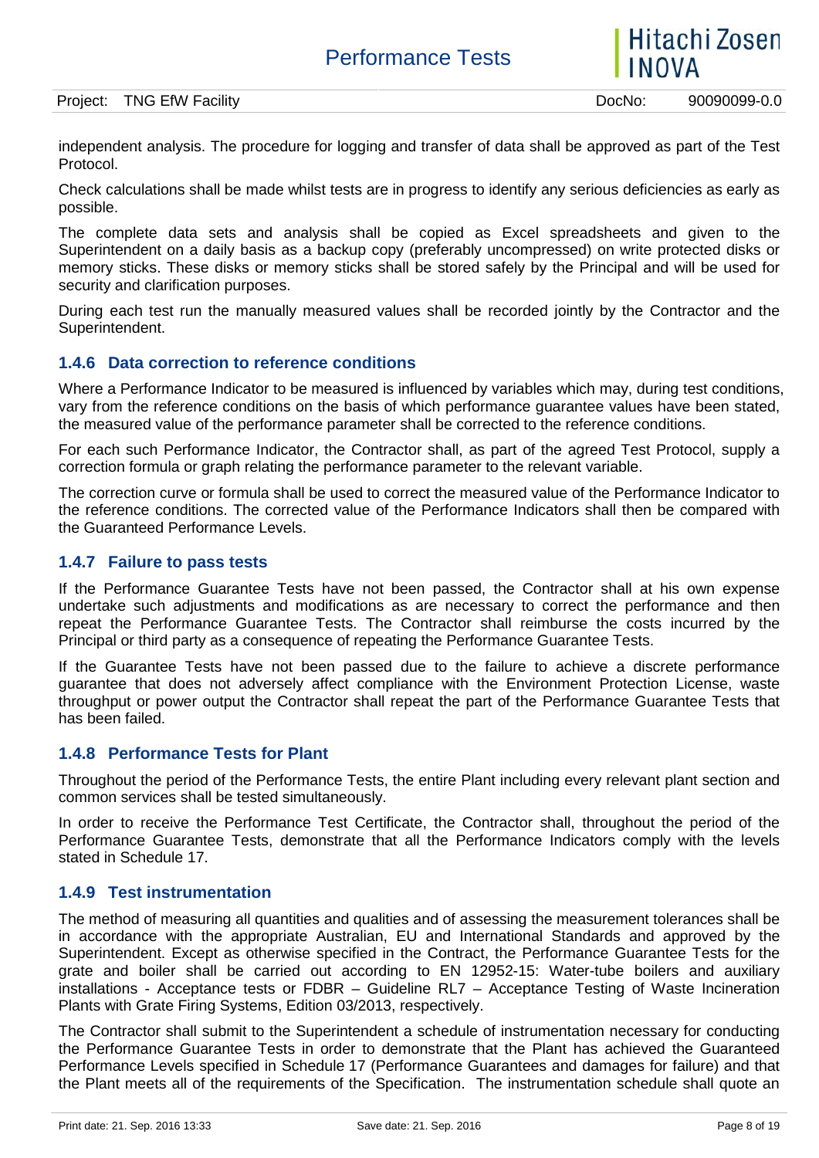Project: TNG EfW Facility **Dock Contract: TNG EfW Facility** Docker Docker Docker Docker Docker Docker Docker Docker

independent analysis. The procedure for logging and transfer of data shall be approved as part of the Test Protocol.

Check calculations shall be made whilst tests are in progress to identify any serious deficiencies as early as possible.

The complete data sets and analysis shall be copied as Excel spreadsheets and given to the Superintendent on a daily basis as a backup copy (preferably uncompressed) on write protected disks or memory sticks. These disks or memory sticks shall be stored safely by the Principal and will be used for security and clarification purposes.

During each test run the manually measured values shall be recorded jointly by the Contractor and the Superintendent.

#### **1.4.6 Data correction to reference conditions**

Where a Performance Indicator to be measured is influenced by variables which may, during test conditions, vary from the reference conditions on the basis of which performance guarantee values have been stated, the measured value of the performance parameter shall be corrected to the reference conditions.

For each such Performance Indicator, the Contractor shall, as part of the agreed Test Protocol, supply a correction formula or graph relating the performance parameter to the relevant variable.

The correction curve or formula shall be used to correct the measured value of the Performance Indicator to the reference conditions. The corrected value of the Performance Indicators shall then be compared with the Guaranteed Performance Levels.

#### **1.4.7 Failure to pass tests**

If the Performance Guarantee Tests have not been passed, the Contractor shall at his own expense undertake such adjustments and modifications as are necessary to correct the performance and then repeat the Performance Guarantee Tests. The Contractor shall reimburse the costs incurred by the Principal or third party as a consequence of repeating the Performance Guarantee Tests.

If the Guarantee Tests have not been passed due to the failure to achieve a discrete performance guarantee that does not adversely affect compliance with the Environment Protection License, waste throughput or power output the Contractor shall repeat the part of the Performance Guarantee Tests that has been failed.

#### **1.4.8 Performance Tests for Plant**

Throughout the period of the Performance Tests, the entire Plant including every relevant plant section and common services shall be tested simultaneously.

In order to receive the Performance Test Certificate, the Contractor shall, throughout the period of the Performance Guarantee Tests, demonstrate that all the Performance Indicators comply with the levels stated in Schedule 17.

#### **1.4.9 Test instrumentation**

The method of measuring all quantities and qualities and of assessing the measurement tolerances shall be in accordance with the appropriate Australian, EU and International Standards and approved by the Superintendent. Except as otherwise specified in the Contract, the Performance Guarantee Tests for the grate and boiler shall be carried out according to EN 12952-15: Water-tube boilers and auxiliary installations - Acceptance tests or FDBR – Guideline RL7 – Acceptance Testing of Waste Incineration Plants with Grate Firing Systems, Edition 03/2013, respectively.

The Contractor shall submit to the Superintendent a schedule of instrumentation necessary for conducting the Performance Guarantee Tests in order to demonstrate that the Plant has achieved the Guaranteed Performance Levels specified in Schedule 17 (Performance Guarantees and damages for failure) and that the Plant meets all of the requirements of the Specification. The instrumentation schedule shall quote an

Hitachi Zosen

**INOVA**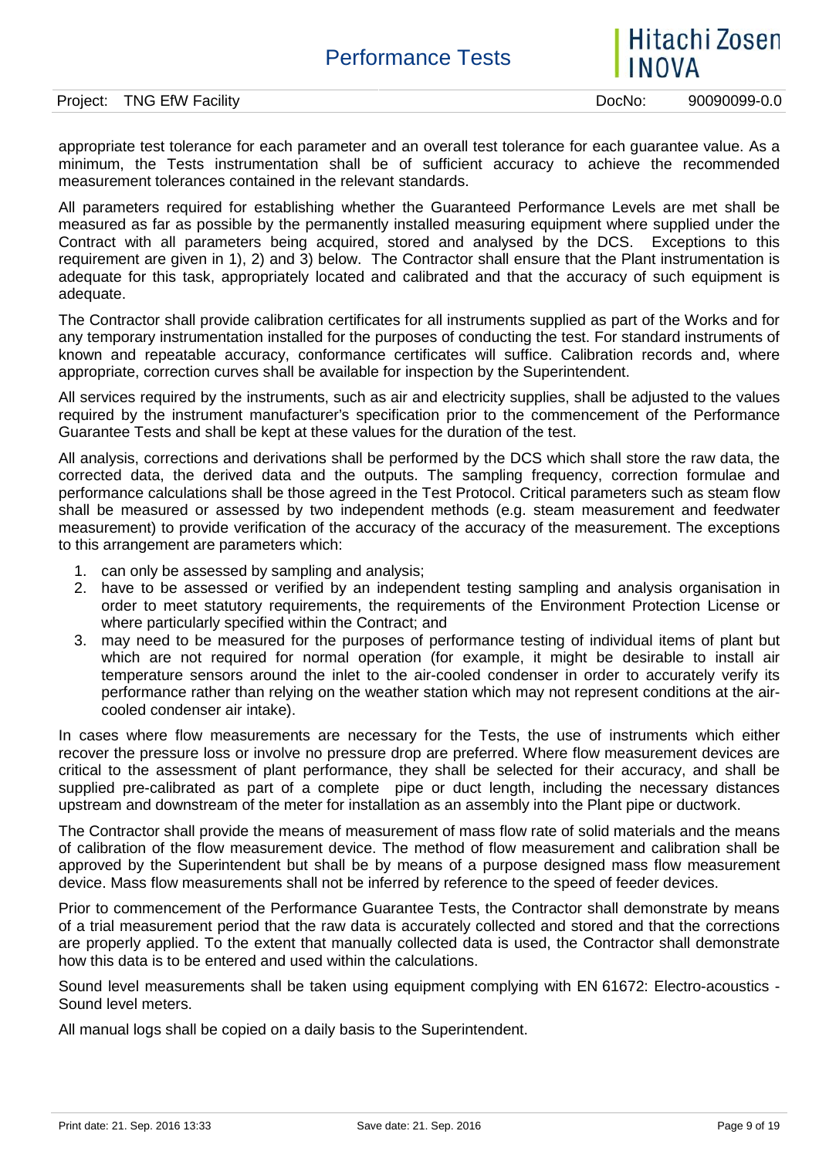

appropriate test tolerance for each parameter and an overall test tolerance for each guarantee value. As a minimum, the Tests instrumentation shall be of sufficient accuracy to achieve the recommended measurement tolerances contained in the relevant standards.

All parameters required for establishing whether the Guaranteed Performance Levels are met shall be measured as far as possible by the permanently installed measuring equipment where supplied under the Contract with all parameters being acquired, stored and analysed by the DCS. Exceptions to this requirement are given in 1), 2) and 3) below. The Contractor shall ensure that the Plant instrumentation is adequate for this task, appropriately located and calibrated and that the accuracy of such equipment is adequate.

The Contractor shall provide calibration certificates for all instruments supplied as part of the Works and for any temporary instrumentation installed for the purposes of conducting the test. For standard instruments of known and repeatable accuracy, conformance certificates will suffice. Calibration records and, where appropriate, correction curves shall be available for inspection by the Superintendent.

All services required by the instruments, such as air and electricity supplies, shall be adjusted to the values required by the instrument manufacturer's specification prior to the commencement of the Performance Guarantee Tests and shall be kept at these values for the duration of the test.

All analysis, corrections and derivations shall be performed by the DCS which shall store the raw data, the corrected data, the derived data and the outputs. The sampling frequency, correction formulae and performance calculations shall be those agreed in the Test Protocol. Critical parameters such as steam flow shall be measured or assessed by two independent methods (e.g. steam measurement and feedwater measurement) to provide verification of the accuracy of the accuracy of the measurement. The exceptions to this arrangement are parameters which:

- 1. can only be assessed by sampling and analysis;
- 2. have to be assessed or verified by an independent testing sampling and analysis organisation in order to meet statutory requirements, the requirements of the Environment Protection License or where particularly specified within the Contract; and
- 3. may need to be measured for the purposes of performance testing of individual items of plant but which are not required for normal operation (for example, it might be desirable to install air temperature sensors around the inlet to the air-cooled condenser in order to accurately verify its performance rather than relying on the weather station which may not represent conditions at the air cooled condenser air intake).

In cases where flow measurements are necessary for the Tests, the use of instruments which either recover the pressure loss or involve no pressure drop are preferred. Where flow measurement devices are critical to the assessment of plant performance, they shall be selected for their accuracy, and shall be supplied pre-calibrated as part of a complete pipe or duct length, including the necessary distances upstream and downstream of the meter for installation as an assembly into the Plant pipe or ductwork.

The Contractor shall provide the means of measurement of mass flow rate of solid materials and the means of calibration of the flow measurement device. The method of flow measurement and calibration shall be approved by the Superintendent but shall be by means of a purpose designed mass flow measurement device. Mass flow measurements shall not be inferred by reference to the speed of feeder devices.

Prior to commencement of the Performance Guarantee Tests, the Contractor shall demonstrate by means of a trial measurement period that the raw data is accurately collected and stored and that the corrections are properly applied. To the extent that manually collected data is used, the Contractor shall demonstrate how this data is to be entered and used within the calculations.

Sound level measurements shall be taken using equipment complying with EN 61672: Electro-acoustics - Sound level meters.

All manual logs shall be copied on a daily basis to the Superintendent.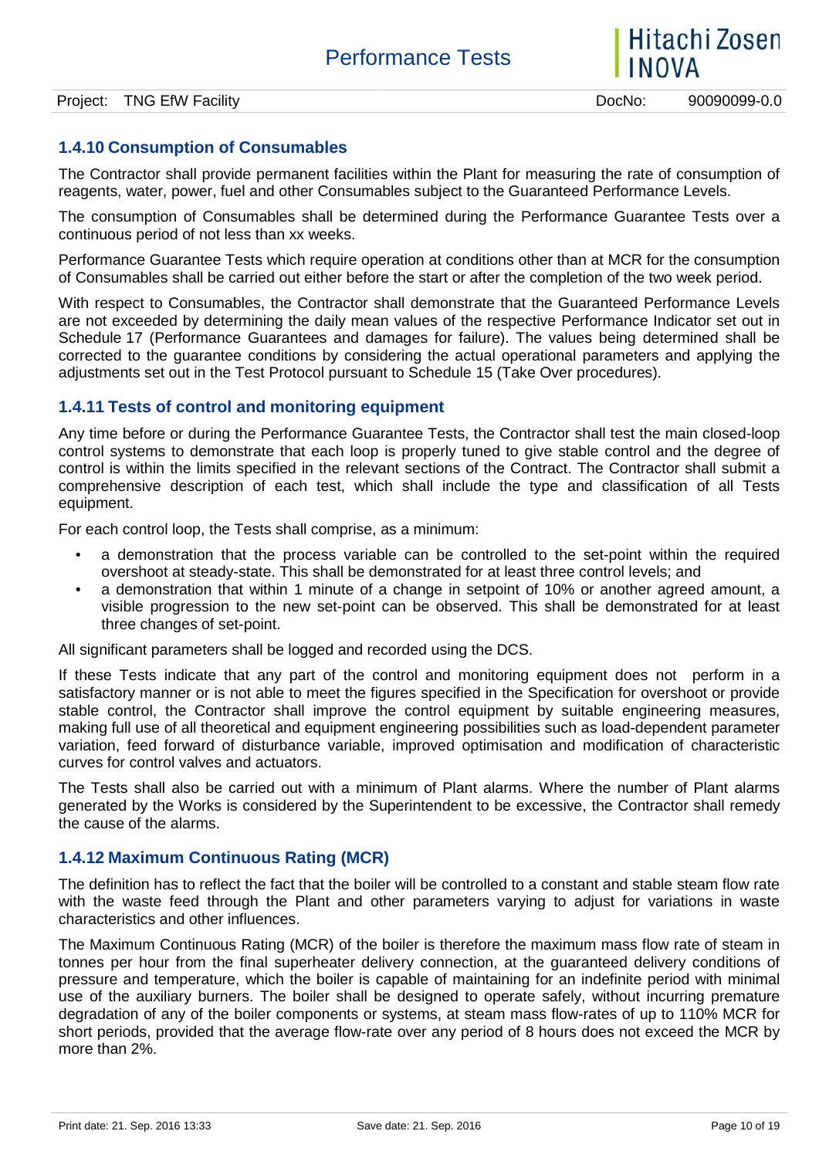### **1.4.10 Consumption of Consumables**

The Contractor shall provide permanent facilities within the Plant for measuring the rate of consumption of reagents, water, power, fuel and other Consumables subject to the Guaranteed Performance Levels.

The consumption of Consumables shall be determined during the Performance Guarantee Tests over a continuous period of not less than xx weeks.

Performance Guarantee Tests which require operation at conditions other than at MCR for the consumption of Consumables shall be carried out either before the start or after the completion of the two week period.

With respect to Consumables, the Contractor shall demonstrate that the Guaranteed Performance Levels are not exceeded by determining the daily mean values of the respective Performance Indicator set out in Schedule 17 (Performance Guarantees and damages for failure). The values being determined shall be corrected to the guarantee conditions by considering the actual operational parameters and applying the adjustments set out in the Test Protocol pursuant to Schedule 15 (Take Over procedures).

#### **1.4.11 Tests of control and monitoring equipment**

Any time before or during the Performance Guarantee Tests, the Contractor shall test the main closed-loop control systems to demonstrate that each loop is properly tuned to give stable control and the degree of control is within the limits specified in the relevant sections of the Contract. The Contractor shall submit a comprehensive description of each test, which shall include the type and classification of all Tests equipment.

For each control loop, the Tests shall comprise, as a minimum:

- a demonstration that the process variable can be controlled to the set-point within the required overshoot at steady-state. This shall be demonstrated for at least three control levels; and
- a demonstration that within 1 minute of a change in setpoint of 10% or another agreed amount, a visible progression to the new set-point can be observed. This shall be demonstrated for at least three changes of set-point.

All significant parameters shall be logged and recorded using the DCS.

If these Tests indicate that any part of the control and monitoring equipment does not perform in a satisfactory manner or is not able to meet the figures specified in the Specification for overshoot or provide stable control, the Contractor shall improve the control equipment by suitable engineering measures, making full use of all theoretical and equipment engineering possibilities such as load-dependent parameter variation, feed forward of disturbance variable, improved optimisation and modification of characteristic curves for control valves and actuators.

The Tests shall also be carried out with a minimum of Plant alarms. Where the number of Plant alarms generated by the Works is considered by the Superintendent to be excessive, the Contractor shall remedy the cause of the alarms.

#### **1.4.12 Maximum Continuous Rating (MCR)**

The definition has to reflect the fact that the boiler will be controlled to a constant and stable steam flow rate with the waste feed through the Plant and other parameters varying to adjust for variations in waste characteristics and other influences.

The Maximum Continuous Rating (MCR) of the boiler is therefore the maximum mass flow rate of steam in tonnes per hour from the final superheater delivery connection, at the guaranteed delivery conditions of pressure and temperature, which the boiler is capable of maintaining for an indefinite period with minimal use of the auxiliary burners. The boiler shall be designed to operate safely, without incurring premature degradation of any of the boiler components or systems, at steam mass flow-rates of up to 110% MCR for short periods, provided that the average flow-rate over any period of 8 hours does not exceed the MCR by more than 2%.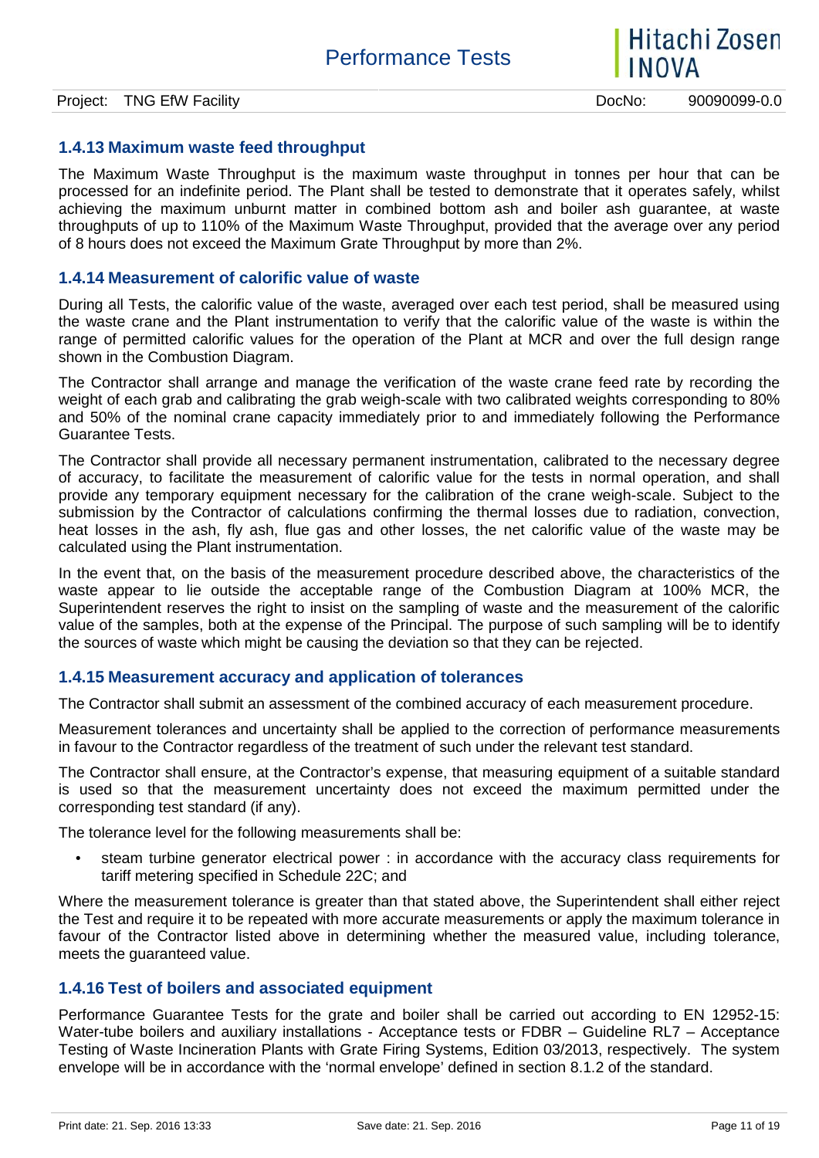

#### **1.4.13 Maximum waste feed throughput**

The Maximum Waste Throughput is the maximum waste throughput in tonnes per hour that can be processed for an indefinite period. The Plant shall be tested to demonstrate that it operates safely, whilst achieving the maximum unburnt matter in combined bottom ash and boiler ash guarantee, at waste throughputs of up to 110% of the Maximum Waste Throughput, provided that the average over any period of 8 hours does not exceed the Maximum Grate Throughput by more than 2%.

#### **1.4.14 Measurement of calorific value of waste**

During all Tests, the calorific value of the waste, averaged over each test period, shall be measured using the waste crane and the Plant instrumentation to verify that the calorific value of the waste is within the range of permitted calorific values for the operation of the Plant at MCR and over the full design range shown in the Combustion Diagram.

The Contractor shall arrange and manage the verification of the waste crane feed rate by recording the weight of each grab and calibrating the grab weigh-scale with two calibrated weights corresponding to 80% and 50% of the nominal crane capacity immediately prior to and immediately following the Performance Guarantee Tests.

The Contractor shall provide all necessary permanent instrumentation, calibrated to the necessary degree of accuracy, to facilitate the measurement of calorific value for the tests in normal operation, and shall provide any temporary equipment necessary for the calibration of the crane weigh-scale. Subject to the submission by the Contractor of calculations confirming the thermal losses due to radiation, convection, heat losses in the ash, fly ash, flue gas and other losses, the net calorific value of the waste may be calculated using the Plant instrumentation.

In the event that, on the basis of the measurement procedure described above, the characteristics of the waste appear to lie outside the acceptable range of the Combustion Diagram at 100% MCR, the Superintendent reserves the right to insist on the sampling of waste and the measurement of the calorific value of the samples, both at the expense of the Principal. The purpose of such sampling will be to identify the sources of waste which might be causing the deviation so that they can be rejected.

#### **1.4.15 Measurement accuracy and application of tolerances**

The Contractor shall submit an assessment of the combined accuracy of each measurement procedure.

Measurement tolerances and uncertainty shall be applied to the correction of performance measurements in favour to the Contractor regardless of the treatment of such under the relevant test standard.

The Contractor shall ensure, at the Contractor's expense, that measuring equipment of a suitable standard is used so that the measurement uncertainty does not exceed the maximum permitted under the corresponding test standard (if any).

The tolerance level for the following measurements shall be:

 steam turbine generator electrical power : in accordance with the accuracy class requirements for tariff metering specified in Schedule 22C; and

Where the measurement tolerance is greater than that stated above, the Superintendent shall either reject the Test and require it to be repeated with more accurate measurements or apply the maximum tolerance in favour of the Contractor listed above in determining whether the measured value, including tolerance, meets the guaranteed value.

#### **1.4.16 Test of boilers and associated equipment**

Performance Guarantee Tests for the grate and boiler shall be carried out according to EN 12952-15: Water-tube boilers and auxiliary installations - Acceptance tests or FDBR – Guideline RL7 – Acceptance Testing of Waste Incineration Plants with Grate Firing Systems, Edition 03/2013, respectively. The system envelope will be in accordance with the 'normal envelope' defined in section 8.1.2 of the standard.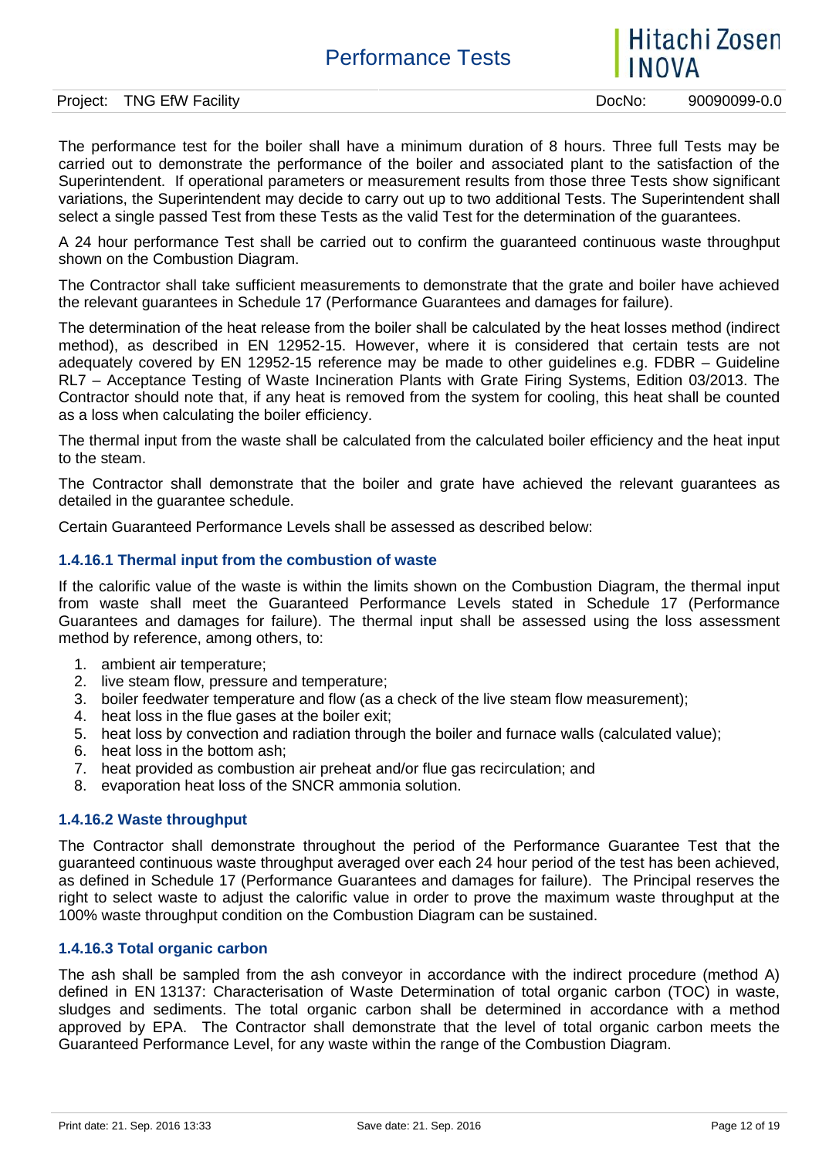# Hitachi Zosen

Project: TNG EfW Facility **Dock Contract: TNG EfW Facility** Docker Docker Docker Docker Docker Docker Docker Docker

The performance test for the boiler shall have a minimum duration of 8 hours. Three full Tests may be carried out to demonstrate the performance of the boiler and associated plant to the satisfaction of the Superintendent. If operational parameters or measurement results from those three Tests show significant variations, the Superintendent may decide to carry out up to two additional Tests. The Superintendent shall select a single passed Test from these Tests as the valid Test for the determination of the guarantees.

A 24 hour performance Test shall be carried out to confirm the guaranteed continuous waste throughput shown on the Combustion Diagram.

The Contractor shall take sufficient measurements to demonstrate that the grate and boiler have achieved the relevant guarantees in Schedule 17 (Performance Guarantees and damages for failure).

The determination of the heat release from the boiler shall be calculated by the heat losses method (indirect method), as described in EN 12952-15. However, where it is considered that certain tests are not adequately covered by EN 12952-15 reference may be made to other guidelines e.g. FDBR – Guideline RL7 – Acceptance Testing of Waste Incineration Plants with Grate Firing Systems, Edition 03/2013. The Contractor should note that, if any heat is removed from the system for cooling, this heat shall be counted as a loss when calculating the boiler efficiency.

The thermal input from the waste shall be calculated from the calculated boiler efficiency and the heat input to the steam.

The Contractor shall demonstrate that the boiler and grate have achieved the relevant guarantees as detailed in the guarantee schedule.

Certain Guaranteed Performance Levels shall be assessed as described below:

#### **1.4.16.1 Thermal input from the combustion of waste**

If the calorific value of the waste is within the limits shown on the Combustion Diagram, the thermal input from waste shall meet the Guaranteed Performance Levels stated in Schedule 17 (Performance Guarantees and damages for failure). The thermal input shall be assessed using the loss assessment method by reference, among others, to:

- 1. ambient air temperature;
- 2. live steam flow, pressure and temperature;
- 3. boiler feedwater temperature and flow (as a check of the live steam flow measurement);
- 4. heat loss in the flue gases at the boiler exit;
- 5. heat loss by convection and radiation through the boiler and furnace walls (calculated value);
- 6. heat loss in the bottom ash;
- 7. heat provided as combustion air preheat and/or flue gas recirculation; and
- 8. evaporation heat loss of the SNCR ammonia solution.

#### **1.4.16.2 Waste throughput**

The Contractor shall demonstrate throughout the period of the Performance Guarantee Test that the guaranteed continuous waste throughput averaged over each 24 hour period of the test has been achieved, as defined in Schedule 17 (Performance Guarantees and damages for failure). The Principal reserves the right to select waste to adjust the calorific value in order to prove the maximum waste throughput at the 100% waste throughput condition on the Combustion Diagram can be sustained.

#### **1.4.16.3 Total organic carbon**

The ash shall be sampled from the ash conveyor in accordance with the indirect procedure (method A) defined in EN 13137: Characterisation of Waste Determination of total organic carbon (TOC) in waste, sludges and sediments. The total organic carbon shall be determined in accordance with a method approved by EPA. The Contractor shall demonstrate that the level of total organic carbon meets the Guaranteed Performance Level, for any waste within the range of the Combustion Diagram.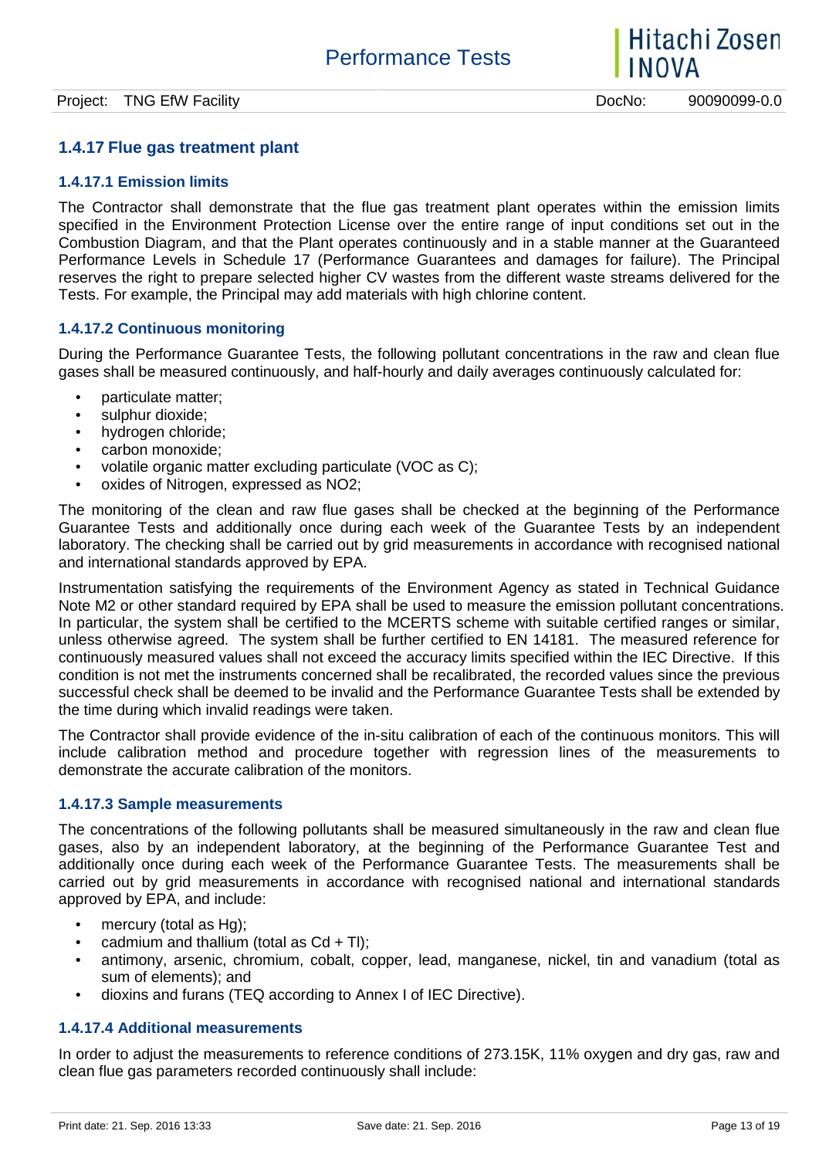#### **1.4.17 Flue gas treatment plant**

#### **1.4.17.1 Emission limits**

The Contractor shall demonstrate that the flue gas treatment plant operates within the emission limits specified in the Environment Protection License over the entire range of input conditions set out in the Combustion Diagram, and that the Plant operates continuously and in a stable manner at the Guaranteed Performance Levels in Schedule 17 (Performance Guarantees and damages for failure). The Principal reserves the right to prepare selected higher CV wastes from the different waste streams delivered for the Tests. For example, the Principal may add materials with high chlorine content.

#### **1.4.17.2 Continuous monitoring**

During the Performance Guarantee Tests, the following pollutant concentrations in the raw and clean flue gases shall be measured continuously, and half-hourly and daily averages continuously calculated for:

- particulate matter:
- sulphur dioxide:
- hydrogen chloride:
- carbon monoxide;
- volatile organic matter excluding particulate (VOC as C);
- oxides of Nitrogen, expressed as NO2;

The monitoring of the clean and raw flue gases shall be checked at the beginning of the Performance Guarantee Tests and additionally once during each week of the Guarantee Tests by an independent laboratory. The checking shall be carried out by grid measurements in accordance with recognised national and international standards approved by EPA.

Instrumentation satisfying the requirements of the Environment Agency as stated in Technical Guidance Note M2 or other standard required by EPA shall be used to measure the emission pollutant concentrations. In particular, the system shall be certified to the MCERTS scheme with suitable certified ranges or similar, unless otherwise agreed. The system shall be further certified to EN 14181. The measured reference for continuously measured values shall not exceed the accuracy limits specified within the IEC Directive. If this condition is not met the instruments concerned shall be recalibrated, the recorded values since the previous successful check shall be deemed to be invalid and the Performance Guarantee Tests shall be extended by the time during which invalid readings were taken.

The Contractor shall provide evidence of the in-situ calibration of each of the continuous monitors. This will include calibration method and procedure together with regression lines of the measurements to demonstrate the accurate calibration of the monitors.

#### **1.4.17.3 Sample measurements**

The concentrations of the following pollutants shall be measured simultaneously in the raw and clean flue gases, also by an independent laboratory, at the beginning of the Performance Guarantee Test and additionally once during each week of the Performance Guarantee Tests. The measurements shall be carried out by grid measurements in accordance with recognised national and international standards approved by EPA, and include:

- mercury (total as Hg);
- cadmium and thallium (total as  $Cd + TI$ );
- antimony, arsenic, chromium, cobalt, copper, lead, manganese, nickel, tin and vanadium (total as sum of elements); and
- dioxins and furans (TEQ according to Annex I of IEC Directive).

#### **1.4.17.4 Additional measurements**

In order to adjust the measurements to reference conditions of 273.15K, 11% oxygen and dry gas, raw and clean flue gas parameters recorded continuously shall include: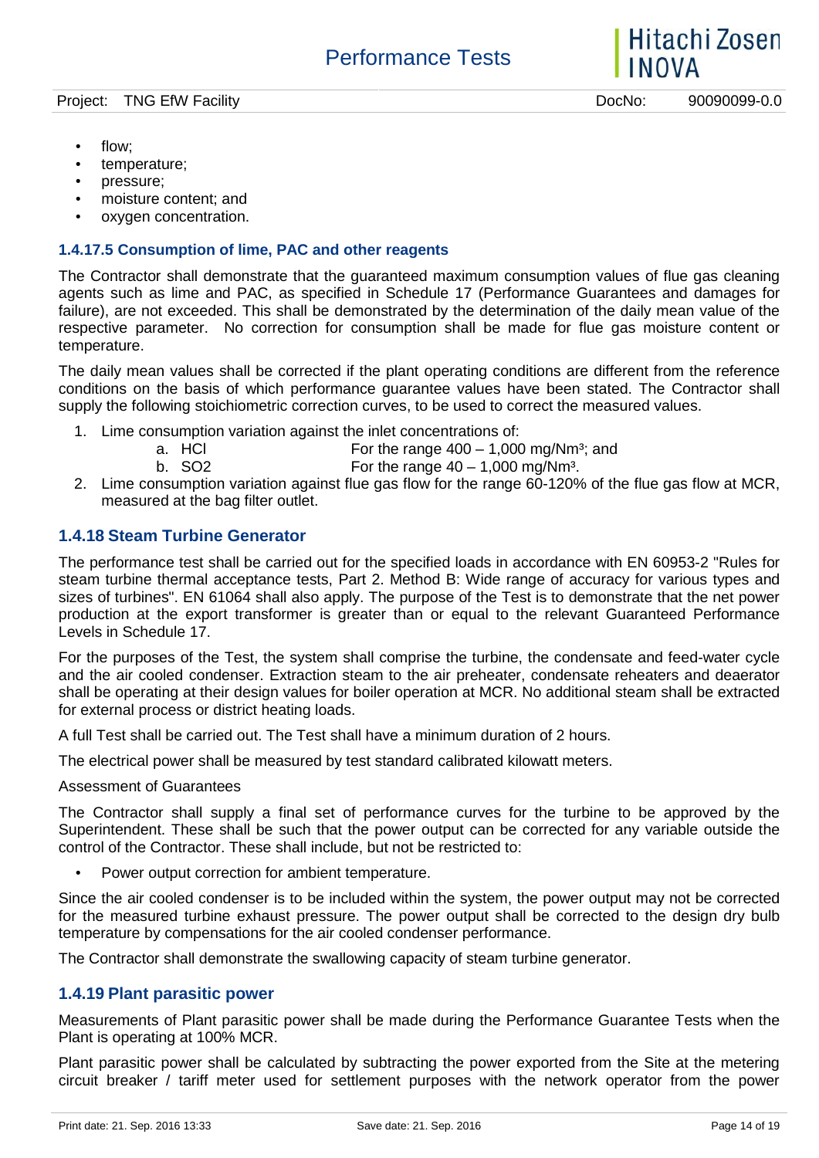- flow:
- temperature;
- pressure;
- moisture content; and
- oxygen concentration.

#### **1.4.17.5 Consumption of lime, PAC and other reagents**

The Contractor shall demonstrate that the guaranteed maximum consumption values of flue gas cleaning agents such as lime and PAC, as specified in Schedule 17 (Performance Guarantees and damages for failure), are not exceeded. This shall be demonstrated by the determination of the daily mean value of the respective parameter. No correction for consumption shall be made for flue gas moisture content or temperature.

The daily mean values shall be corrected if the plant operating conditions are different from the reference conditions on the basis of which performance guarantee values have been stated. The Contractor shall supply the following stoichiometric correction curves, to be used to correct the measured values.

- 1. Lime consumption variation against the inlet concentrations of:
	- a. HCl  $\begin{array}{ccc} 1 & 1 & 1 \ 1 & 1 & 1 \end{array}$  For the range  $400 1,000$  mg/Nm<sup>3</sup>; and b. SO2
		- For the range  $40 1,000$  mg/Nm<sup>3</sup>.
- 2. Lime consumption variation against flue gas flow for the range 60-120% of the flue gas flow at MCR, measured at the bag filter outlet.

### **1.4.18 Steam Turbine Generator**

The performance test shall be carried out for the specified loads in accordance with EN 60953-2 "Rules for steam turbine thermal acceptance tests, Part 2. Method B: Wide range of accuracy for various types and sizes of turbines". EN 61064 shall also apply. The purpose of the Test is to demonstrate that the net power production at the export transformer is greater than or equal to the relevant Guaranteed Performance Levels in Schedule 17.

For the purposes of the Test, the system shall comprise the turbine, the condensate and feed-water cycle and the air cooled condenser. Extraction steam to the air preheater, condensate reheaters and deaerator shall be operating at their design values for boiler operation at MCR. No additional steam shall be extracted for external process or district heating loads.

A full Test shall be carried out. The Test shall have a minimum duration of 2 hours.

The electrical power shall be measured by test standard calibrated kilowatt meters.

Assessment of Guarantees

The Contractor shall supply a final set of performance curves for the turbine to be approved by the Superintendent. These shall be such that the power output can be corrected for any variable outside the control of the Contractor. These shall include, but not be restricted to:

Power output correction for ambient temperature.

Since the air cooled condenser is to be included within the system, the power output may not be corrected for the measured turbine exhaust pressure. The power output shall be corrected to the design dry bulb temperature by compensations for the air cooled condenser performance.

The Contractor shall demonstrate the swallowing capacity of steam turbine generator.

#### **1.4.19 Plant parasitic power**

Measurements of Plant parasitic power shall be made during the Performance Guarantee Tests when the Plant is operating at 100% MCR.

Plant parasitic power shall be calculated by subtracting the power exported from the Site at the metering circuit breaker / tariff meter used for settlement purposes with the network operator from the power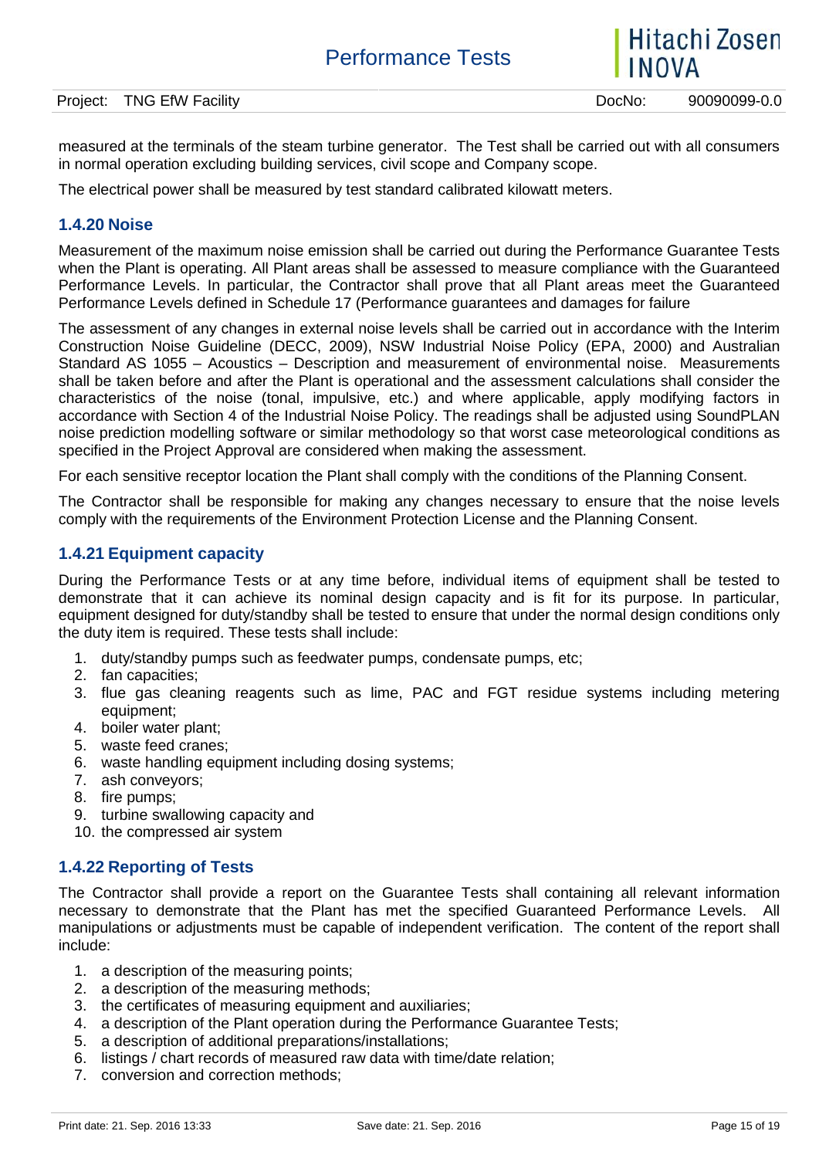| Project: | <br>EfW<br>NG.<br>Facility | JocNo. | 90090099-<br>-v.u |
|----------|----------------------------|--------|-------------------|
|          |                            |        |                   |

measured at the terminals of the steam turbine generator. The Test shall be carried out with all consumers in normal operation excluding building services, civil scope and Company scope.

The electrical power shall be measured by test standard calibrated kilowatt meters.

#### **1.4.20 Noise**

Measurement of the maximum noise emission shall be carried out during the Performance Guarantee Tests when the Plant is operating. All Plant areas shall be assessed to measure compliance with the Guaranteed Performance Levels. In particular, the Contractor shall prove that all Plant areas meet the Guaranteed Performance Levels defined in Schedule 17 (Performance guarantees and damages for failure

The assessment of any changes in external noise levels shall be carried out in accordance with the Interim Construction Noise Guideline (DECC, 2009), NSW Industrial Noise Policy (EPA, 2000) and Australian Standard AS 1055 – Acoustics – Description and measurement of environmental noise. Measurements shall be taken before and after the Plant is operational and the assessment calculations shall consider the characteristics of the noise (tonal, impulsive, etc.) and where applicable, apply modifying factors in accordance with Section 4 of the Industrial Noise Policy. The readings shall be adjusted using SoundPLAN noise prediction modelling software or similar methodology so that worst case meteorological conditions as specified in the Project Approval are considered when making the assessment.

For each sensitive receptor location the Plant shall comply with the conditions of the Planning Consent.

The Contractor shall be responsible for making any changes necessary to ensure that the noise levels comply with the requirements of the Environment Protection License and the Planning Consent.

#### **1.4.21 Equipment capacity**

During the Performance Tests or at any time before, individual items of equipment shall be tested to demonstrate that it can achieve its nominal design capacity and is fit for its purpose. In particular, equipment designed for duty/standby shall be tested to ensure that under the normal design conditions only the duty item is required. These tests shall include:

- 1. duty/standby pumps such as feedwater pumps, condensate pumps, etc;
- 2. fan capacities;
- 3. flue gas cleaning reagents such as lime, PAC and FGT residue systems including metering equipment;
- 4. boiler water plant;
- 5. waste feed cranes;
- 6. waste handling equipment including dosing systems;
- 7. ash conveyors;
- 8. fire pumps;
- 9. turbine swallowing capacity and
- 10. the compressed air system

#### **1.4.22 Reporting of Tests**

The Contractor shall provide a report on the Guarantee Tests shall containing all relevant information necessary to demonstrate that the Plant has met the specified Guaranteed Performance Levels. All manipulations or adjustments must be capable of independent verification. The content of the report shall include:

- 1. a description of the measuring points;
- 2. a description of the measuring methods;
- 3. the certificates of measuring equipment and auxiliaries;
- 4. a description of the Plant operation during the Performance Guarantee Tests;
- 5. a description of additional preparations/installations;
- 6. listings / chart records of measured raw data with time/date relation;
- 7. conversion and correction methods;

Hitachi Zosen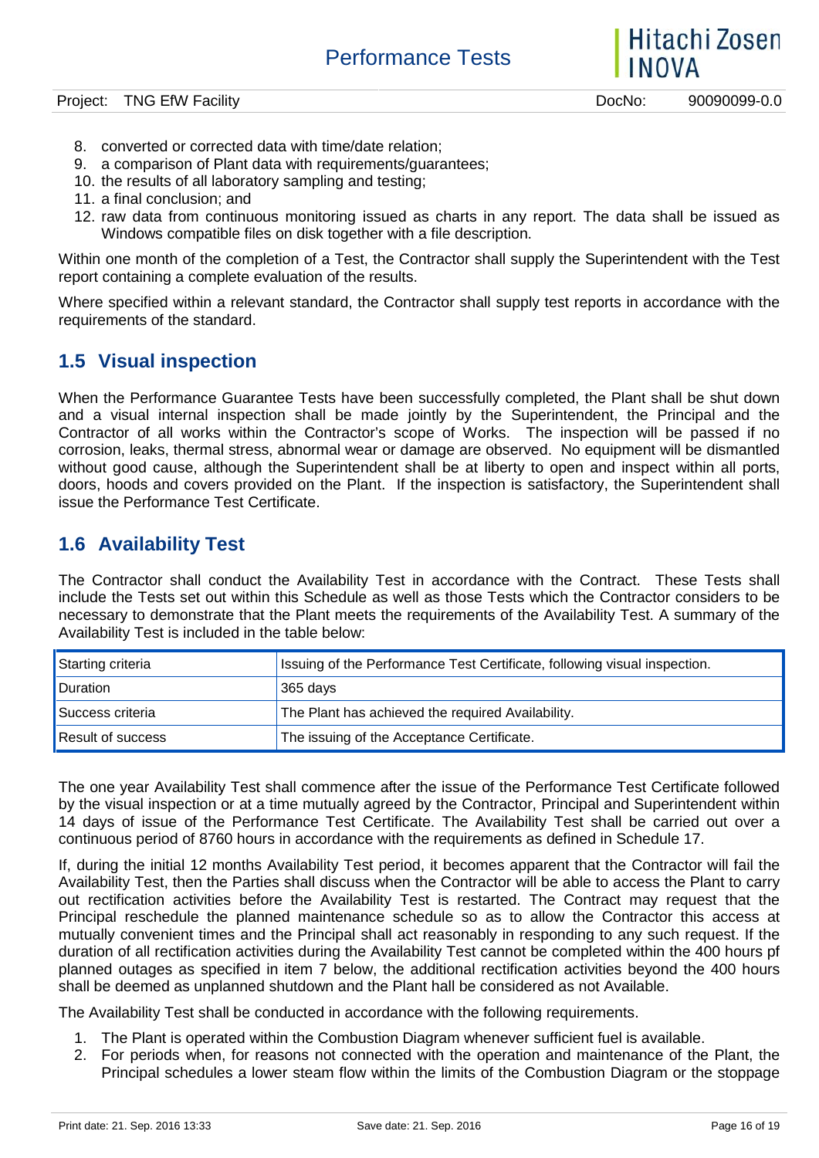Hitachi Zosen **INOVA** 

- 8. converted or corrected data with time/date relation;
- 9. a comparison of Plant data with requirements/guarantees;
- 10. the results of all laboratory sampling and testing;
- 11. a final conclusion; and
- 12. raw data from continuous monitoring issued as charts in any report. The data shall be issued as Windows compatible files on disk together with a file description.

Within one month of the completion of a Test, the Contractor shall supply the Superintendent with the Test report containing a complete evaluation of the results.

Where specified within a relevant standard, the Contractor shall supply test reports in accordance with the requirements of the standard.

## **1.5 Visual inspection**

When the Performance Guarantee Tests have been successfully completed, the Plant shall be shut down and a visual internal inspection shall be made jointly by the Superintendent, the Principal and the Contractor of all works within the Contractor's scope of Works. The inspection will be passed if no corrosion, leaks, thermal stress, abnormal wear or damage are observed. No equipment will be dismantled without good cause, although the Superintendent shall be at liberty to open and inspect within all ports, doors, hoods and covers provided on the Plant. If the inspection is satisfactory, the Superintendent shall issue the Performance Test Certificate.

## **1.6 Availability Test**

The Contractor shall conduct the Availability Test in accordance with the Contract. These Tests shall include the Tests set out within this Schedule as well as those Tests which the Contractor considers to be necessary to demonstrate that the Plant meets the requirements of the Availability Test. A summary of the Availability Test is included in the table below:

| Starting criteria        | Issuing of the Performance Test Certificate, following visual inspection. |
|--------------------------|---------------------------------------------------------------------------|
| <b>Duration</b>          | 365 days                                                                  |
| Success criteria         | The Plant has achieved the required Availability.                         |
| <b>Result of success</b> | The issuing of the Acceptance Certificate.                                |

The one year Availability Test shall commence after the issue of the Performance Test Certificate followed by the visual inspection or at a time mutually agreed by the Contractor, Principal and Superintendent within 14 days of issue of the Performance Test Certificate. The Availability Test shall be carried out over a continuous period of 8760 hours in accordance with the requirements as defined in Schedule 17.

If, during the initial 12 months Availability Test period, it becomes apparent that the Contractor will fail the Availability Test, then the Parties shall discuss when the Contractor will be able to access the Plant to carry out rectification activities before the Availability Test is restarted. The Contract may request that the Principal reschedule the planned maintenance schedule so as to allow the Contractor this access at mutually convenient times and the Principal shall act reasonably in responding to any such request. If the duration of all rectification activities during the Availability Test cannot be completed within the 400 hours pf planned outages as specified in item 7 below, the additional rectification activities beyond the 400 hours shall be deemed as unplanned shutdown and the Plant hall be considered as not Available.

The Availability Test shall be conducted in accordance with the following requirements.

- 1. The Plant is operated within the Combustion Diagram whenever sufficient fuel is available.
- 2. For periods when, for reasons not connected with the operation and maintenance of the Plant, the Principal schedules a lower steam flow within the limits of the Combustion Diagram or the stoppage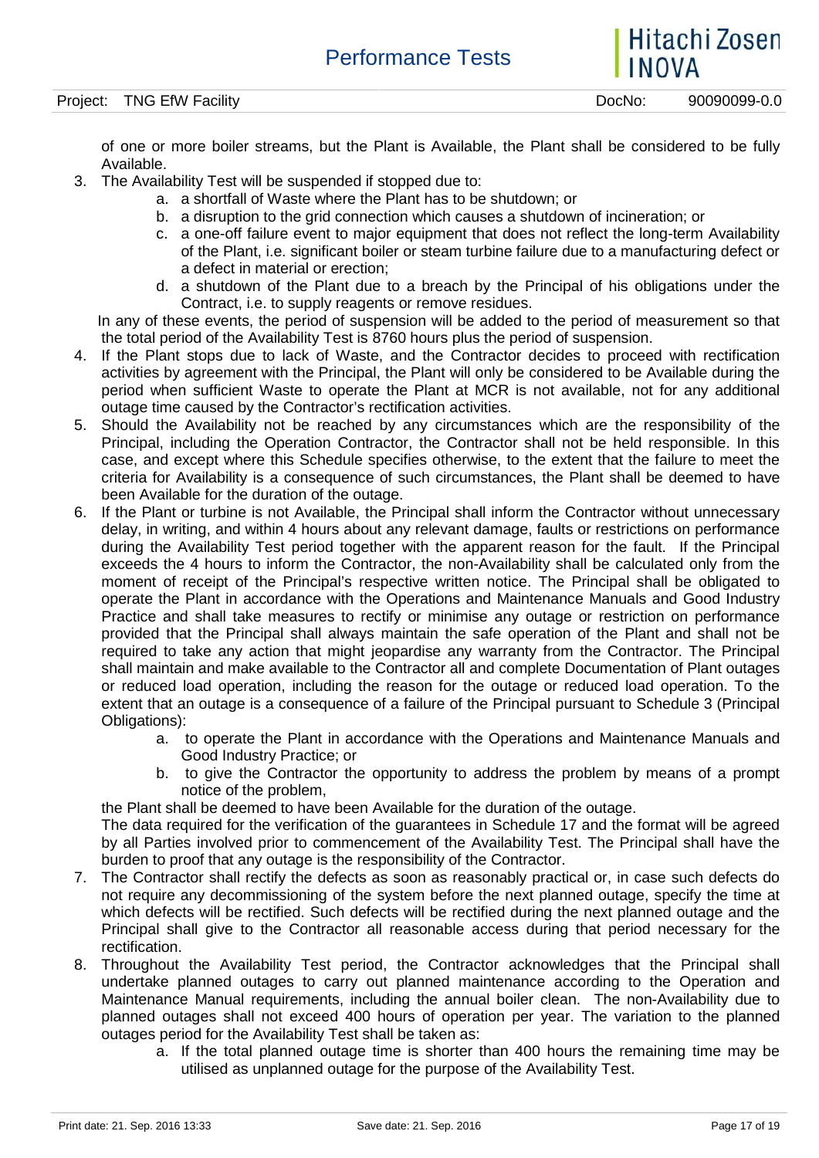of one or more boiler streams, but the Plant is Available, the Plant shall be considered to be fully Available.

- 3. The Availability Test will be suspended if stopped due to:
	- a. a shortfall of Waste where the Plant has to be shutdown; or
	- b. a disruption to the grid connection which causes a shutdown of incineration; or
	- c. a one-off failure event to major equipment that does not reflect the long-term Availability of the Plant, i.e. significant boiler or steam turbine failure due to a manufacturing defect or a defect in material or erection;
	- d. a shutdown of the Plant due to a breach by the Principal of his obligations under the Contract, i.e. to supply reagents or remove residues.

In any of these events, the period of suspension will be added to the period of measurement so that the total period of the Availability Test is 8760 hours plus the period of suspension.

- 4. If the Plant stops due to lack of Waste, and the Contractor decides to proceed with rectification activities by agreement with the Principal, the Plant will only be considered to be Available during the period when sufficient Waste to operate the Plant at MCR is not available, not for any additional outage time caused by the Contractor's rectification activities.
- 5. Should the Availability not be reached by any circumstances which are the responsibility of the Principal, including the Operation Contractor, the Contractor shall not be held responsible. In this case, and except where this Schedule specifies otherwise, to the extent that the failure to meet the criteria for Availability is a consequence of such circumstances, the Plant shall be deemed to have been Available for the duration of the outage.
- 6. If the Plant or turbine is not Available, the Principal shall inform the Contractor without unnecessary delay, in writing, and within 4 hours about any relevant damage, faults or restrictions on performance during the Availability Test period together with the apparent reason for the fault. If the Principal exceeds the 4 hours to inform the Contractor, the non-Availability shall be calculated only from the moment of receipt of the Principal's respective written notice. The Principal shall be obligated to operate the Plant in accordance with the Operations and Maintenance Manuals and Good Industry Practice and shall take measures to rectify or minimise any outage or restriction on performance provided that the Principal shall always maintain the safe operation of the Plant and shall not be required to take any action that might jeopardise any warranty from the Contractor. The Principal shall maintain and make available to the Contractor all and complete Documentation of Plant outages or reduced load operation, including the reason for the outage or reduced load operation. To the extent that an outage is a consequence of a failure of the Principal pursuant to Schedule 3 (Principal Obligations):
	- a. to operate the Plant in accordance with the Operations and Maintenance Manuals and Good Industry Practice; or
	- b. to give the Contractor the opportunity to address the problem by means of a prompt notice of the problem,

the Plant shall be deemed to have been Available for the duration of the outage.

The data required for the verification of the guarantees in Schedule 17 and the format will be agreed by all Parties involved prior to commencement of the Availability Test. The Principal shall have the burden to proof that any outage is the responsibility of the Contractor.

- 7. The Contractor shall rectify the defects as soon as reasonably practical or, in case such defects do not require any decommissioning of the system before the next planned outage, specify the time at which defects will be rectified. Such defects will be rectified during the next planned outage and the Principal shall give to the Contractor all reasonable access during that period necessary for the rectification.
- 8. Throughout the Availability Test period, the Contractor acknowledges that the Principal shall undertake planned outages to carry out planned maintenance according to the Operation and Maintenance Manual requirements, including the annual boiler clean. The non-Availability due to planned outages shall not exceed 400 hours of operation per year. The variation to the planned outages period for the Availability Test shall be taken as:
	- a. If the total planned outage time is shorter than 400 hours the remaining time may be utilised as unplanned outage for the purpose of the Availability Test.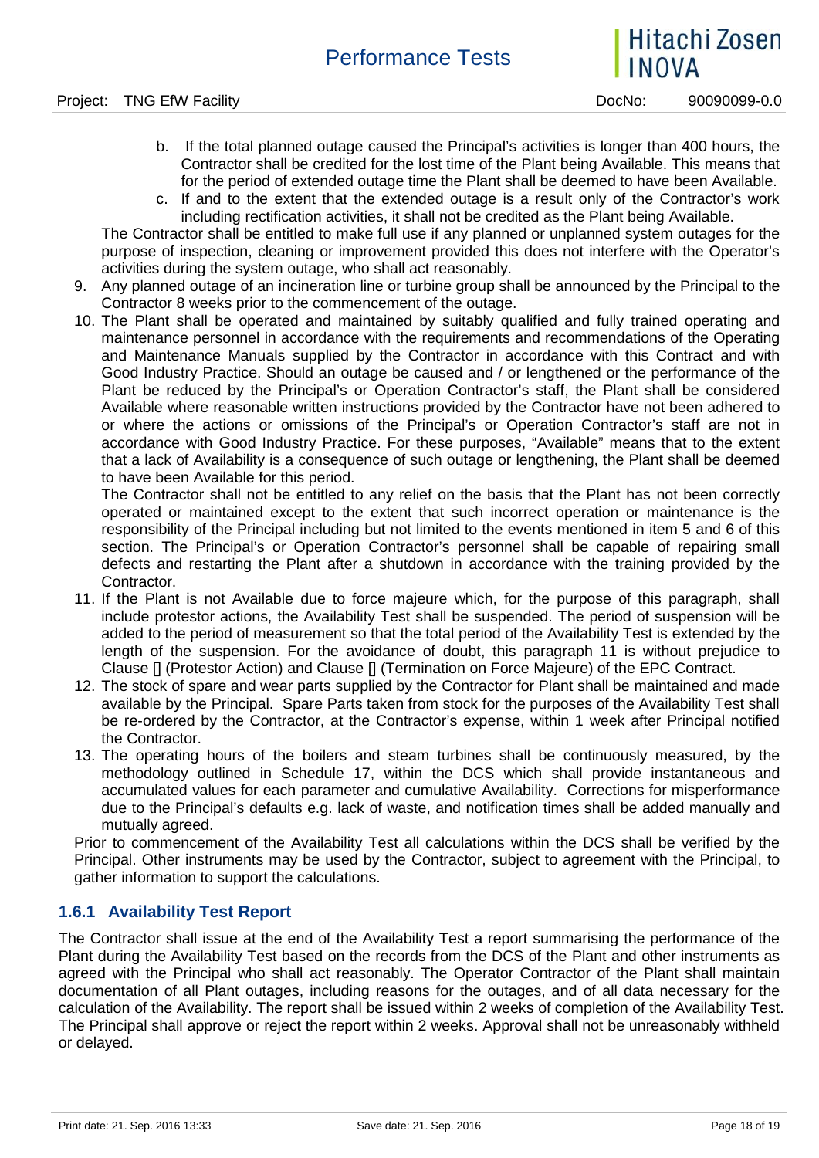- b. If the total planned outage caused the Principal's activities is longer than 400 hours, the Contractor shall be credited for the lost time of the Plant being Available. This means that for the period of extended outage time the Plant shall be deemed to have been Available.
- c. If and to the extent that the extended outage is a result only of the Contractor's work including rectification activities, it shall not be credited as the Plant being Available.

The Contractor shall be entitled to make full use if any planned or unplanned system outages for the purpose of inspection, cleaning or improvement provided this does not interfere with the Operator's activities during the system outage, who shall act reasonably.

- 9. Any planned outage of an incineration line or turbine group shall be announced by the Principal to the Contractor 8 weeks prior to the commencement of the outage.
- 10. The Plant shall be operated and maintained by suitably qualified and fully trained operating and maintenance personnel in accordance with the requirements and recommendations of the Operating and Maintenance Manuals supplied by the Contractor in accordance with this Contract and with Good Industry Practice. Should an outage be caused and / or lengthened or the performance of the Plant be reduced by the Principal's or Operation Contractor's staff, the Plant shall be considered Available where reasonable written instructions provided by the Contractor have not been adhered to or where the actions or omissions of the Principal's or Operation Contractor's staff are not in accordance with Good Industry Practice. For these purposes, "Available" means that to the extent that a lack of Availability is a consequence of such outage or lengthening, the Plant shall be deemed to have been Available for this period.

The Contractor shall not be entitled to any relief on the basis that the Plant has not been correctly operated or maintained except to the extent that such incorrect operation or maintenance is the responsibility of the Principal including but not limited to the events mentioned in item 5 and 6 of this section. The Principal's or Operation Contractor's personnel shall be capable of repairing small defects and restarting the Plant after a shutdown in accordance with the training provided by the Contractor.

- 11. If the Plant is not Available due to force majeure which, for the purpose of this paragraph, shall include protestor actions, the Availability Test shall be suspended. The period of suspension will be added to the period of measurement so that the total period of the Availability Test is extended by the length of the suspension. For the avoidance of doubt, this paragraph 11 is without prejudice to Clause [] (Protestor Action) and Clause [] (Termination on Force Majeure) of the EPC Contract.
- 12. The stock of spare and wear parts supplied by the Contractor for Plant shall be maintained and made available by the Principal. Spare Parts taken from stock for the purposes of the Availability Test shall be re-ordered by the Contractor, at the Contractor's expense, within 1 week after Principal notified the Contractor.
- 13. The operating hours of the boilers and steam turbines shall be continuously measured, by the methodology outlined in Schedule 17, within the DCS which shall provide instantaneous and accumulated values for each parameter and cumulative Availability. Corrections for misperformance due to the Principal's defaults e.g. lack of waste, and notification times shall be added manually and mutually agreed.

Prior to commencement of the Availability Test all calculations within the DCS shall be verified by the Principal. Other instruments may be used by the Contractor, subject to agreement with the Principal, to gather information to support the calculations.

#### **1.6.1 Availability Test Report**

The Contractor shall issue at the end of the Availability Test a report summarising the performance of the Plant during the Availability Test based on the records from the DCS of the Plant and other instruments as agreed with the Principal who shall act reasonably. The Operator Contractor of the Plant shall maintain documentation of all Plant outages, including reasons for the outages, and of all data necessary for the calculation of the Availability. The report shall be issued within 2 weeks of completion of the Availability Test. The Principal shall approve or reject the report within 2 weeks. Approval shall not be unreasonably withheld or delayed.